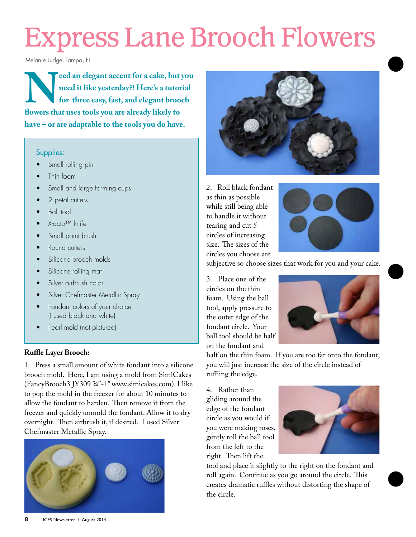# Express Lane Brooch Flowers

Melanie Judge, Tampa, FL

reed an elegant accent for a cake, but you<br>need it like yesterday?! Here's a tutorial<br>for three easy, fast, and elegant brooch<br>flowers that uses tools you are already likely to **need it like yesterday?! Here's a tutorial for three easy, fast, and elegant brooch flowers that uses tools you are already likely to have – or are adaptable to the tools you do have.**

#### Supplies:

- Small rolling pin
- Thin foam
- Small and large forming cups
- 2 petal cutters
- Ball tool
- X-acto™ knife
- Small paint brush
- Round cutters
- Silicone brooch molds
- Silicone rolling mat
- Silver airbrush color
- Silver Chefmaster Metallic Spray
- Fondant colors of your choice (I used black and white)
- Pearl mold (not pictured)

#### **Ruffle Layer Brooch:**

1. Press a small amount of white fondant into a silicone brooch mold. Here, I am using a mold from SimiCakes (FancyBrooch3 JY309 ¾"-1" www.simicakes.com). I like to pop the mold in the freezer for about 10 minutes to allow the fondant to harden. Then remove it from the freezer and quickly unmold the fondant. Allow it to dry overnight. Then airbrush it, if desired. I used Silver Chefmaster Metallic Spray.





2. Roll black fondant as thin as possible while still being able to handle it without tearing and cut 5 circles of increasing size. The sizes of the circles you choose are



subjective so choose sizes that work for you and your cake.

3. Place one of the circles on the thin foam. Using the ball tool, apply pressure to the outer edge of the fondant circle. Your ball tool should be half on the fondant and



half on the thin foam. If you are too far onto the fondant, you will just increase the size of the circle instead of ruffling the edge.

4. Rather than gliding around the edge of the fondant circle as you would if you were making roses, gently roll the ball tool from the left to the right. Then lift the



tool and place it slightly to the right on the fondant and roll again. Continue as you go around the circle. This creates dramatic ruffles without distorting the shape of the circle.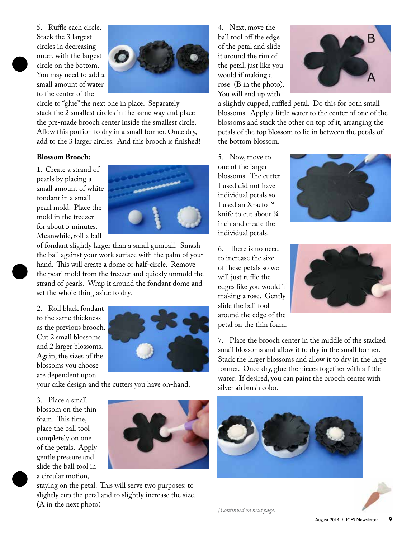5. Ruffle each circle. Stack the 3 largest circles in decreasing order, with the largest circle on the bottom. You may need to add a small amount of water to the center of the



circle to "glue" the next one in place. Separately stack the 2 smallest circles in the same way and place the pre-made brooch center inside the smallest circle. Allow this portion to dry in a small former. Once dry, add to the 3 larger circles. And this brooch is finished!

#### **Blossom Brooch:**

1. Create a strand of pearls by placing a small amount of white fondant in a small pearl mold. Place the mold in the freezer for about 5 minutes. Meanwhile, roll a ball



of fondant slightly larger than a small gumball. Smash the ball against your work surface with the palm of your hand. This will create a dome or half-circle. Remove the pearl mold from the freezer and quickly unmold the strand of pearls. Wrap it around the fondant dome and set the whole thing aside to dry.

2. Roll black fondant to the same thickness as the previous brooch. Cut 2 small blossoms and 2 larger blossoms. Again, the sizes of the blossoms you choose are dependent upon



your cake design and the cutters you have on-hand.

3. Place a small blossom on the thin foam. This time, place the ball tool completely on one of the petals. Apply gentle pressure and slide the ball tool in a circular motion,



staying on the petal. This will serve two purposes: to slightly cup the petal and to slightly increase the size. (A in the next photo)

4. Next, move the ball tool off the edge of the petal and slide it around the rim of the petal, just like you would if making a rose (B in the photo). You will end up with



a slightly cupped, ruffled petal. Do this for both small blossoms. Apply a little water to the center of one of the blossoms and stack the other on top of it, arranging the petals of the top blossom to lie in between the petals of the bottom blossom.

5. Now, move to one of the larger blossoms. The cutter I used did not have individual petals so I used an X-acto™ knife to cut about ¼ inch and create the individual petals.



6. There is no need to increase the size of these petals so we will just ruffle the edges like you would if making a rose. Gently slide the ball tool around the edge of the petal on the thin foam.



7. Place the brooch center in the middle of the stacked small blossoms and allow it to dry in the small former. Stack the larger blossoms and allow it to dry in the large former. Once dry, glue the pieces together with a little water. If desired, you can paint the brooch center with silver airbrush color.





*(Continued on next page)*